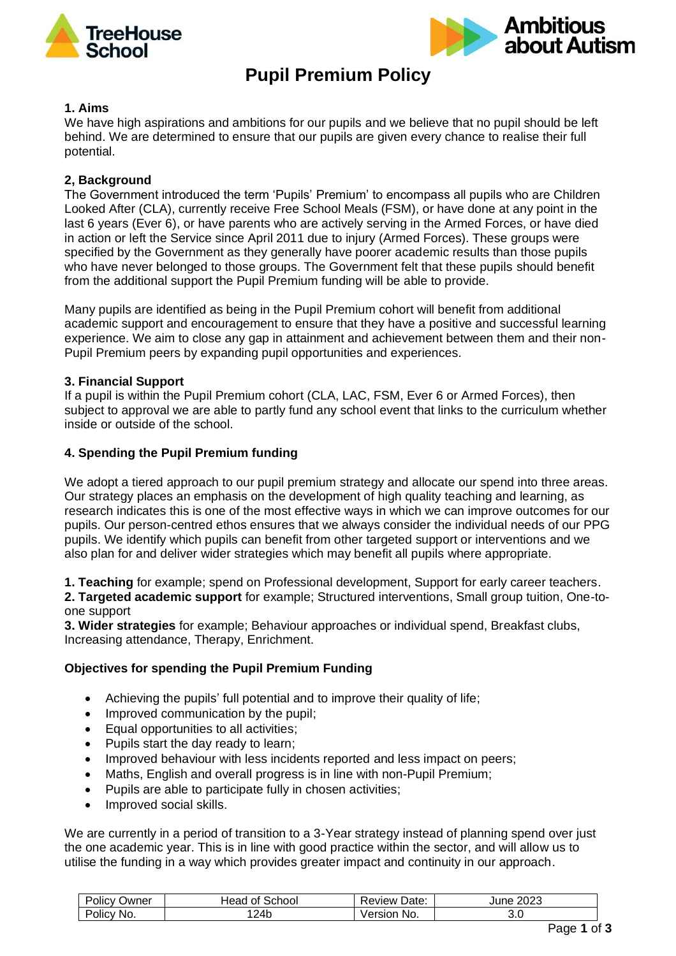



# **Pupil Premium Policy**

#### **1. Aims**

We have high aspirations and ambitions for our pupils and we believe that no pupil should be left behind. We are determined to ensure that our pupils are given every chance to realise their full potential.

## **2, Background**

The Government introduced the term 'Pupils' Premium' to encompass all pupils who are Children Looked After (CLA), currently receive Free School Meals (FSM), or have done at any point in the last 6 years (Ever 6), or have parents who are actively serving in the Armed Forces, or have died in action or left the Service since April 2011 due to injury (Armed Forces). These groups were specified by the Government as they generally have poorer academic results than those pupils who have never belonged to those groups. The Government felt that these pupils should benefit from the additional support the Pupil Premium funding will be able to provide.

Many pupils are identified as being in the Pupil Premium cohort will benefit from additional academic support and encouragement to ensure that they have a positive and successful learning experience. We aim to close any gap in attainment and achievement between them and their non-Pupil Premium peers by expanding pupil opportunities and experiences.

## **3. Financial Support**

If a pupil is within the Pupil Premium cohort (CLA, LAC, FSM, Ever 6 or Armed Forces), then subject to approval we are able to partly fund any school event that links to the curriculum whether inside or outside of the school.

## **4. Spending the Pupil Premium funding**

We adopt a tiered approach to our pupil premium strategy and allocate our spend into three areas. Our strategy places an emphasis on the development of high quality teaching and learning, as research indicates this is one of the most effective ways in which we can improve outcomes for our pupils. Our person-centred ethos ensures that we always consider the individual needs of our PPG pupils. We identify which pupils can benefit from other targeted support or interventions and we also plan for and deliver wider strategies which may benefit all pupils where appropriate.

**1. Teaching** for example; spend on Professional development, Support for early career teachers. **2. Targeted academic support** for example; Structured interventions, Small group tuition, One-to-

one support

**3. Wider strategies** for example; Behaviour approaches or individual spend, Breakfast clubs, Increasing attendance, Therapy, Enrichment.

## **Objectives for spending the Pupil Premium Funding**

- Achieving the pupils' full potential and to improve their quality of life;
- Improved communication by the pupil;
- Equal opportunities to all activities;
- Pupils start the day ready to learn;
- Improved behaviour with less incidents reported and less impact on peers;
- Maths, English and overall progress is in line with non-Pupil Premium;
- Pupils are able to participate fully in chosen activities;
- Improved social skills.

We are currently in a period of transition to a 3-Year strategy instead of planning spend over just the one academic year. This is in line with good practice within the sector, and will allow us to utilise the funding in a way which provides greater impact and continuity in our approach.

| - -<br>Policy<br>Jwner | School<br>0t<br>Head | Date:<br>Review : | 2023<br>June |
|------------------------|----------------------|-------------------|--------------|
| Policy<br>∵No.         | 124b                 | No.<br>'ersıon    | U.U          |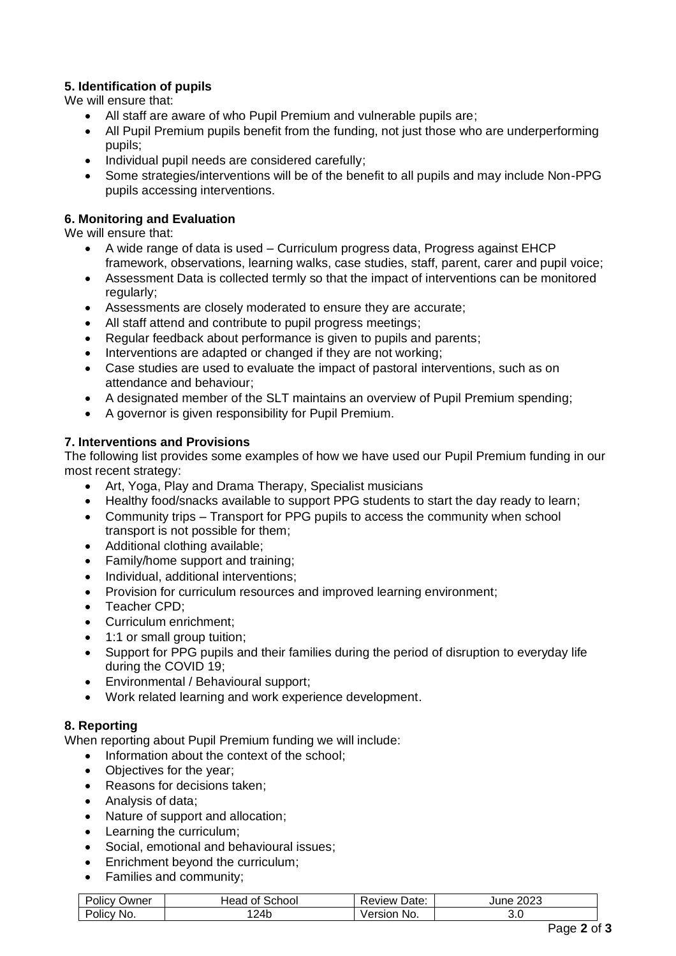# **5. Identification of pupils**

We will ensure that:

- All staff are aware of who Pupil Premium and vulnerable pupils are;
- All Pupil Premium pupils benefit from the funding, not just those who are underperforming pupils;
- Individual pupil needs are considered carefully;
- Some strategies/interventions will be of the benefit to all pupils and may include Non-PPG pupils accessing interventions.

## **6. Monitoring and Evaluation**

We will ensure that:

- A wide range of data is used Curriculum progress data, Progress against EHCP framework, observations, learning walks, case studies, staff, parent, carer and pupil voice;
- Assessment Data is collected termly so that the impact of interventions can be monitored regularly;
- Assessments are closely moderated to ensure they are accurate;
- All staff attend and contribute to pupil progress meetings;
- Regular feedback about performance is given to pupils and parents:
- Interventions are adapted or changed if they are not working;
- Case studies are used to evaluate the impact of pastoral interventions, such as on attendance and behaviour;
- A designated member of the SLT maintains an overview of Pupil Premium spending;
- A governor is given responsibility for Pupil Premium.

## **7. Interventions and Provisions**

The following list provides some examples of how we have used our Pupil Premium funding in our most recent strategy:

- Art, Yoga, Play and Drama Therapy, Specialist musicians
- Healthy food/snacks available to support PPG students to start the day ready to learn;
- Community trips Transport for PPG pupils to access the community when school transport is not possible for them;
- Additional clothing available;
- Family/home support and training;
- Individual, additional interventions;
- Provision for curriculum resources and improved learning environment;
- Teacher CPD;
- Curriculum enrichment;
- 1:1 or small group tuition;
- Support for PPG pupils and their families during the period of disruption to everyday life during the COVID 19;
- Environmental / Behavioural support;
- Work related learning and work experience development.

# **8. Reporting**

When reporting about Pupil Premium funding we will include:

- Information about the context of the school:
- Objectives for the year;
- Reasons for decisions taken;
- Analysis of data;
- Nature of support and allocation;
- Learning the curriculum;
- Social, emotional and behavioural issues;
- Enrichment beyond the curriculum;
- Families and community;

| Policy<br>שwner                           | ۔ choolذ<br>Head<br>Οt | -<br>Date:<br>Review | 2023<br>June |
|-------------------------------------------|------------------------|----------------------|--------------|
| $\overline{\phantom{a}}$<br>Policy<br>No. | 124b                   | No.<br>Version       | ◡.◡          |